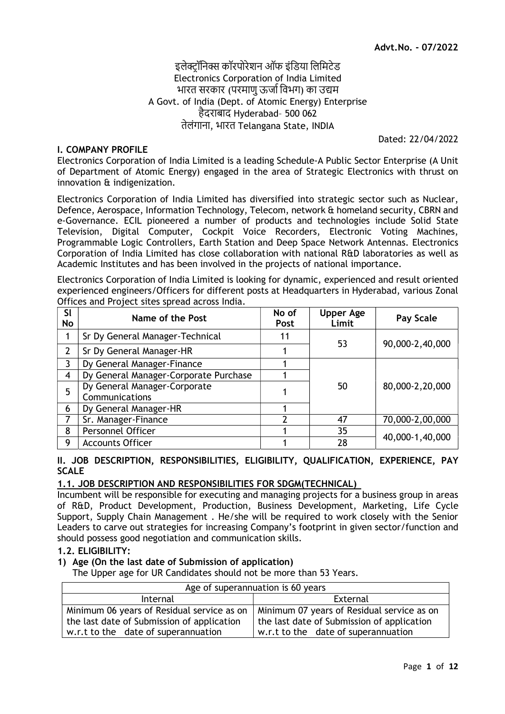# इलेक्टॉनिक्स कॉरपोरेशन ऑफ इंडिया लिमिटेड Electronics Corporation of India Limited भारत सरकार (परमाण ऊर्जा विभग) का उद्यम A Govt. of India (Dept. of Atomic Energy) Enterprise हैदराबाद Hyderabad– 500 062 तेलंगाना, भारत Telangana State, INDIA

#### I. COMPANY PROFILE

Dated: 22/04/2022

Electronics Corporation of India Limited is a leading Schedule-A Public Sector Enterprise (A Unit of Department of Atomic Energy) engaged in the area of Strategic Electronics with thrust on innovation & indigenization.

Electronics Corporation of India Limited has diversified into strategic sector such as Nuclear, Defence, Aerospace, Information Technology, Telecom, network & homeland security, CBRN and e-Governance. ECIL pioneered a number of products and technologies include Solid State Television, Digital Computer, Cockpit Voice Recorders, Electronic Voting Machines, Programmable Logic Controllers, Earth Station and Deep Space Network Antennas. Electronics Corporation of India Limited has close collaboration with national R&D laboratories as well as Academic Institutes and has been involved in the projects of national importance.

Electronics Corporation of India Limited is looking for dynamic, experienced and result oriented experienced engineers/Officers for different posts at Headquarters in Hyderabad, various Zonal Offices and Project sites spread across India.

| Sl<br>No       | Name of the Post                               | No of<br><b>Post</b> | <b>Upper Age</b><br>Limit | Pay Scale       |  |
|----------------|------------------------------------------------|----------------------|---------------------------|-----------------|--|
| 1              | Sr Dy General Manager-Technical                | 11                   | 53                        |                 |  |
| 2              | Sr Dy General Manager-HR                       |                      |                           | 90,000-2,40,000 |  |
| 3              | Dy General Manager-Finance                     |                      |                           |                 |  |
| $\overline{4}$ | Dy General Manager-Corporate Purchase          |                      |                           |                 |  |
| 5              | Dy General Manager-Corporate<br>Communications |                      | 50                        | 80,000-2,20,000 |  |
| 6              | Dy General Manager-HR                          |                      |                           |                 |  |
| 7              | Sr. Manager-Finance                            | າ                    | 47                        | 70,000-2,00,000 |  |
| 8              | Personnel Officer                              |                      | 35                        |                 |  |
| 9              | <b>Accounts Officer</b>                        |                      | 28                        | 40,000-1,40,000 |  |

#### II. JOB DESCRIPTION, RESPONSIBILITIES, ELIGIBILITY, QUALIFICATION, EXPERIENCE, PAY SCALE

#### 1.1. JOB DESCRIPTION AND RESPONSIBILITIES FOR SDGM(TECHNICAL)

Incumbent will be responsible for executing and managing projects for a business group in areas of R&D, Product Development, Production, Business Development, Marketing, Life Cycle Support, Supply Chain Management . He/she will be required to work closely with the Senior Leaders to carve out strategies for increasing Company's footprint in given sector/function and should possess good negotiation and communication skills.

#### 1.2. ELIGIBILITY:

#### 1) Age (On the last date of Submission of application)

The Upper age for UR Candidates should not be more than 53 Years.

| Age of superannuation is 60 years          |                                            |  |  |
|--------------------------------------------|--------------------------------------------|--|--|
| Internal                                   | External                                   |  |  |
| Minimum 06 years of Residual service as on | Minimum 07 years of Residual service as on |  |  |
| the last date of Submission of application | the last date of Submission of application |  |  |
| w.r.t to the date of superannuation        | w.r.t to the date of superannuation        |  |  |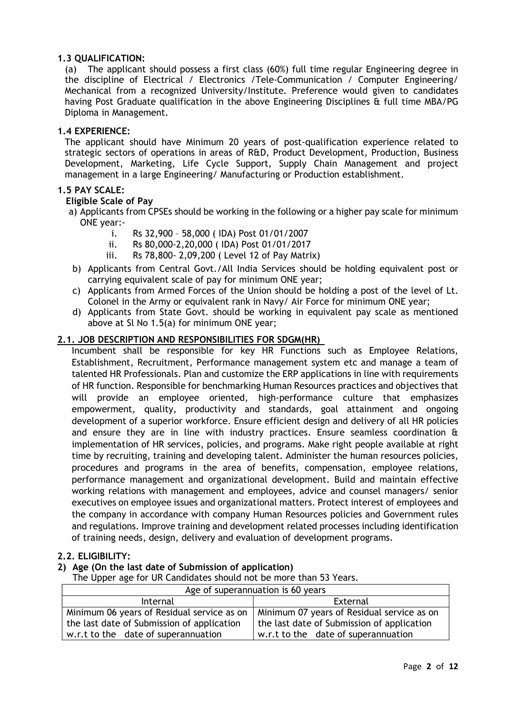# 1.3 QUALIFICATION:

(a) The applicant should possess a first class (60%) full time regular Engineering degree in the discipline of Electrical / Electronics /Tele-Communication / Computer Engineering/ Mechanical from a recognized University/Institute. Preference would given to candidates having Post Graduate qualification in the above Engineering Disciplines & full time MBA/PG Diploma in Management.

#### 1.4 EXPERIENCE:

The applicant should have Minimum 20 years of post-qualification experience related to strategic sectors of operations in areas of R&D, Product Development, Production, Business Development, Marketing, Life Cycle Support, Supply Chain Management and project management in a large Engineering/ Manufacturing or Production establishment.

#### 1.5 PAY SCALE:

#### Eligible Scale of Pay

- a) Applicants from CPSEs should be working in the following or a higher pay scale for minimum ONE year:
	- i. Rs 32,900 58,000 ( IDA) Post 01/01/2007
	- ii. Rs 80,000-2,20,000 ( IDA) Post 01/01/2017
	- iii. Rs 78,800- 2,09,200 ( Level 12 of Pay Matrix)
- b) Applicants from Central Govt./All India Services should be holding equivalent post or carrying equivalent scale of pay for minimum ONE year;
- c) Applicants from Armed Forces of the Union should be holding a post of the level of Lt. Colonel in the Army or equivalent rank in Navy/ Air Force for minimum ONE year;
- d) Applicants from State Govt. should be working in equivalent pay scale as mentioned above at Sl No 1.5(a) for minimum ONE year;

# 2.1. JOB DESCRIPTION AND RESPONSIBILITIES FOR SDGM(HR)

Incumbent shall be responsible for key HR Functions such as Employee Relations, Establishment, Recruitment, Performance management system etc and manage a team of talented HR Professionals. Plan and customize the ERP applications in line with requirements of HR function. Responsible for benchmarking Human Resources practices and objectives that will provide an employee oriented, high-performance culture that emphasizes empowerment, quality, productivity and standards, goal attainment and ongoing development of a superior workforce. Ensure efficient design and delivery of all HR policies and ensure they are in line with industry practices. Ensure seamless coordination & implementation of HR services, policies, and programs. Make right people available at right time by recruiting, training and developing talent. Administer the human resources policies, procedures and programs in the area of benefits, compensation, employee relations, performance management and organizational development. Build and maintain effective working relations with management and employees, advice and counsel managers/ senior executives on employee issues and organizational matters. Protect interest of employees and the company in accordance with company Human Resources policies and Government rules and regulations. Improve training and development related processes including identification of training needs, design, delivery and evaluation of development programs.

#### 2.2. ELIGIBILITY:

#### 2) Age (On the last date of Submission of application)

The Upper age for UR Candidates should not be more than 53 Years.

| Age of superannuation is 60 years          |                                            |  |  |  |
|--------------------------------------------|--------------------------------------------|--|--|--|
| Internal                                   | External                                   |  |  |  |
| Minimum 06 years of Residual service as on | Minimum 07 years of Residual service as on |  |  |  |
| the last date of Submission of application | the last date of Submission of application |  |  |  |
| w.r.t to the date of superannuation        | w.r.t to the date of superannuation        |  |  |  |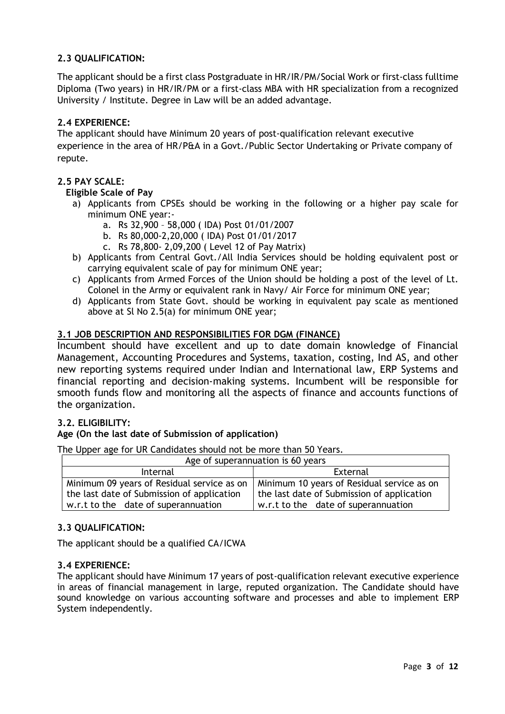# 2.3 QUALIFICATION:

The applicant should be a first class Postgraduate in HR/IR/PM/Social Work or first-class fulltime Diploma (Two years) in HR/IR/PM or a first-class MBA with HR specialization from a recognized University / Institute. Degree in Law will be an added advantage.

# 2.4 EXPERIENCE:

The applicant should have Minimum 20 years of post-qualification relevant executive experience in the area of HR/P&A in a Govt./Public Sector Undertaking or Private company of repute.

# 2.5 PAY SCALE:

#### Eligible Scale of Pay

- a) Applicants from CPSEs should be working in the following or a higher pay scale for minimum ONE year:
	- a. Rs 32,900 58,000 ( IDA) Post 01/01/2007
	- b. Rs 80,000-2,20,000 ( IDA) Post 01/01/2017
	- c. Rs 78,800- 2,09,200 ( Level 12 of Pay Matrix)
- b) Applicants from Central Govt./All India Services should be holding equivalent post or carrying equivalent scale of pay for minimum ONE year;
- c) Applicants from Armed Forces of the Union should be holding a post of the level of Lt. Colonel in the Army or equivalent rank in Navy/ Air Force for minimum ONE year;
- d) Applicants from State Govt. should be working in equivalent pay scale as mentioned above at Sl No 2.5(a) for minimum ONE year;

# 3.1 JOB DESCRIPTION AND RESPONSIBILITIES FOR DGM (FINANCE)

Incumbent should have excellent and up to date domain knowledge of Financial Management, Accounting Procedures and Systems, taxation, costing, Ind AS, and other new reporting systems required under Indian and International law, ERP Systems and financial reporting and decision-making systems. Incumbent will be responsible for smooth funds flow and monitoring all the aspects of finance and accounts functions of the organization.

#### 3.2. ELIGIBILITY:

#### Age (On the last date of Submission of application)

The Upper age for UR Candidates should not be more than 50 Years.

| Age of superannuation is 60 years                                                        |                                                                                          |  |  |  |
|------------------------------------------------------------------------------------------|------------------------------------------------------------------------------------------|--|--|--|
| Internal                                                                                 | External                                                                                 |  |  |  |
| Minimum 09 years of Residual service as on<br>the last date of Submission of application | Minimum 10 years of Residual service as on<br>the last date of Submission of application |  |  |  |
| w.r.t to the date of superannuation                                                      | w.r.t to the date of superannuation                                                      |  |  |  |

#### 3.3 QUALIFICATION:

The applicant should be a qualified CA/ICWA

#### 3.4 EXPERIENCE:

The applicant should have Minimum 17 years of post-qualification relevant executive experience in areas of financial management in large, reputed organization. The Candidate should have sound knowledge on various accounting software and processes and able to implement ERP System independently.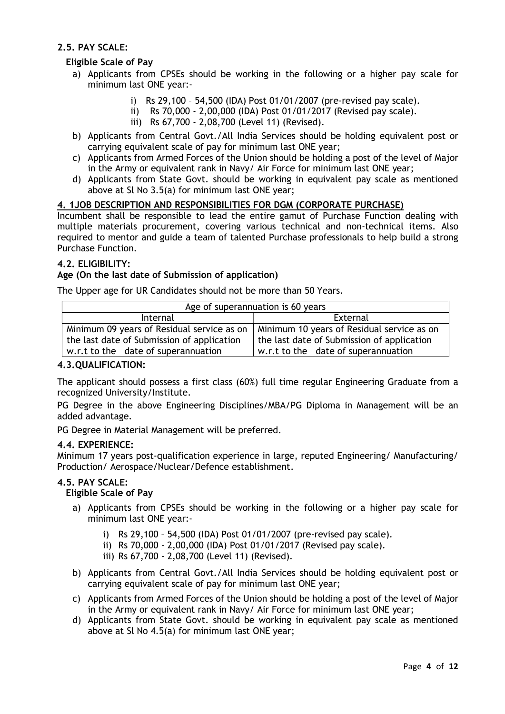# 2.5. PAY SCALE:

# Eligible Scale of Pay

- a) Applicants from CPSEs should be working in the following or a higher pay scale for minimum last ONE year:
	- i) Rs 29,100 54,500 (IDA) Post 01/01/2007 (pre-revised pay scale).
	- ii) Rs 70,000 2,00,000 (IDA) Post 01/01/2017 (Revised pay scale).
	- iii) Rs 67,700 2,08,700 (Level 11) (Revised).
- b) Applicants from Central Govt./All India Services should be holding equivalent post or carrying equivalent scale of pay for minimum last ONE year;
- c) Applicants from Armed Forces of the Union should be holding a post of the level of Major in the Army or equivalent rank in Navy/ Air Force for minimum last ONE year;
- d) Applicants from State Govt. should be working in equivalent pay scale as mentioned above at Sl No 3.5(a) for minimum last ONE year;

# 4. 1JOB DESCRIPTION AND RESPONSIBILITIES FOR DGM (CORPORATE PURCHASE)

Incumbent shall be responsible to lead the entire gamut of Purchase Function dealing with multiple materials procurement, covering various technical and non-technical items. Also required to mentor and guide a team of talented Purchase professionals to help build a strong Purchase Function.

# 4.2. ELIGIBILITY:

# Age (On the last date of Submission of application)

The Upper age for UR Candidates should not be more than 50 Years.

| Age of superannuation is 60 years          |                                            |  |  |  |
|--------------------------------------------|--------------------------------------------|--|--|--|
| Internal                                   | External                                   |  |  |  |
| Minimum 09 years of Residual service as on | Minimum 10 years of Residual service as on |  |  |  |
| the last date of Submission of application | the last date of Submission of application |  |  |  |
| w.r.t to the date of superannuation        | w.r.t to the date of superannuation        |  |  |  |

#### 4.3.QUALIFICATION:

The applicant should possess a first class (60%) full time regular Engineering Graduate from a recognized University/Institute.

PG Degree in the above Engineering Disciplines/MBA/PG Diploma in Management will be an added advantage.

PG Degree in Material Management will be preferred.

#### 4.4. EXPERIENCE:

Minimum 17 years post-qualification experience in large, reputed Engineering/ Manufacturing/ Production/ Aerospace/Nuclear/Defence establishment.

#### 4.5. PAY SCALE:

#### Eligible Scale of Pay

- a) Applicants from CPSEs should be working in the following or a higher pay scale for minimum last ONE year:
	- i) Rs 29,100 54,500 (IDA) Post 01/01/2007 (pre-revised pay scale).
	- ii) Rs 70,000 2,00,000 (IDA) Post 01/01/2017 (Revised pay scale).
	- iii) Rs 67,700 2,08,700 (Level 11) (Revised).
- b) Applicants from Central Govt./All India Services should be holding equivalent post or carrying equivalent scale of pay for minimum last ONE year;
- c) Applicants from Armed Forces of the Union should be holding a post of the level of Major in the Army or equivalent rank in Navy/ Air Force for minimum last ONE year;
- d) Applicants from State Govt. should be working in equivalent pay scale as mentioned above at Sl No 4.5(a) for minimum last ONE year;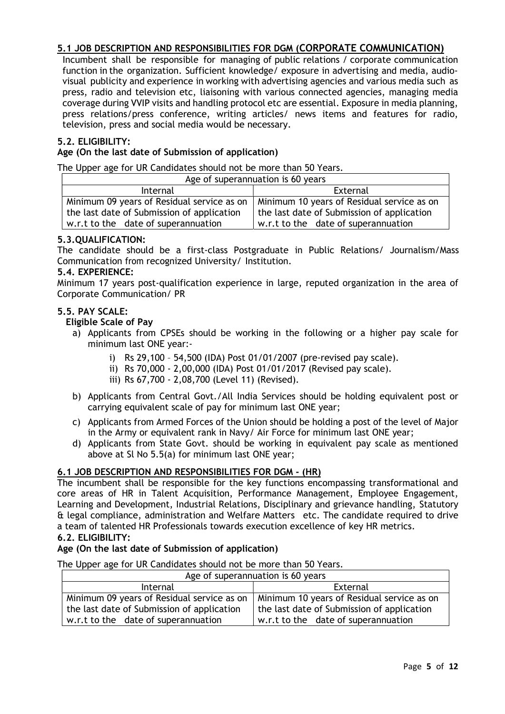# 5.1 JOB DESCRIPTION AND RESPONSIBILITIES FOR DGM (CORPORATE COMMUNICATION)

Incumbent shall be responsible for managing of public relations / corporate communication function in the organization. Sufficient knowledge/ exposure in advertising and media, audiovisual publicity and experience in working with advertising agencies and various media such as press, radio and television etc, liaisoning with various connected agencies, managing media coverage during VVIP visits and handling protocol etc are essential. Exposure in media planning, press relations/press conference, writing articles/ news items and features for radio, television, press and social media would be necessary.

# 5.2. ELIGIBILITY:

# Age (On the last date of Submission of application)

The Upper age for UR Candidates should not be more than 50 Years.

| Age of superannuation is 60 years          |                                            |  |  |  |
|--------------------------------------------|--------------------------------------------|--|--|--|
| Internal                                   | External                                   |  |  |  |
| Minimum 09 years of Residual service as on | Minimum 10 years of Residual service as on |  |  |  |
| the last date of Submission of application | the last date of Submission of application |  |  |  |
| w.r.t to the date of superannuation        | w.r.t to the date of superannuation        |  |  |  |

#### 5.3.QUALIFICATION:

The candidate should be a first-class Postgraduate in Public Relations/ Journalism/Mass Communication from recognized University/ Institution.

#### 5.4. EXPERIENCE:

Minimum 17 years post-qualification experience in large, reputed organization in the area of Corporate Communication/ PR

#### 5.5. PAY SCALE:

Eligible Scale of Pay

- a) Applicants from CPSEs should be working in the following or a higher pay scale for minimum last ONE year:
	- i) Rs 29,100 54,500 (IDA) Post 01/01/2007 (pre-revised pay scale).
	- ii) Rs 70,000 2,00,000 (IDA) Post 01/01/2017 (Revised pay scale).
	- iii) Rs 67,700 2,08,700 (Level 11) (Revised).
- b) Applicants from Central Govt./All India Services should be holding equivalent post or carrying equivalent scale of pay for minimum last ONE year;
- c) Applicants from Armed Forces of the Union should be holding a post of the level of Major in the Army or equivalent rank in Navy/ Air Force for minimum last ONE year;
- d) Applicants from State Govt. should be working in equivalent pay scale as mentioned above at Sl No 5.5(a) for minimum last ONE year;

#### 6.1 JOB DESCRIPTION AND RESPONSIBILITIES FOR DGM - (HR)

The incumbent shall be responsible for the key functions encompassing transformational and core areas of HR in Talent Acquisition, Performance Management, Employee Engagement, Learning and Development, Industrial Relations, Disciplinary and grievance handling, Statutory & legal compliance, administration and Welfare Matters etc. The candidate required to drive a team of talented HR Professionals towards execution excellence of key HR metrics.

# 6.2. ELIGIBILITY:

#### Age (On the last date of Submission of application)

The Upper age for UR Candidates should not be more than 50 Years.

| Age of superannuation is 60 years          |                                            |  |  |  |
|--------------------------------------------|--------------------------------------------|--|--|--|
| Internal                                   | External                                   |  |  |  |
| Minimum 09 years of Residual service as on | Minimum 10 years of Residual service as on |  |  |  |
| the last date of Submission of application | the last date of Submission of application |  |  |  |
| w.r.t to the date of superannuation        | w.r.t to the date of superannuation        |  |  |  |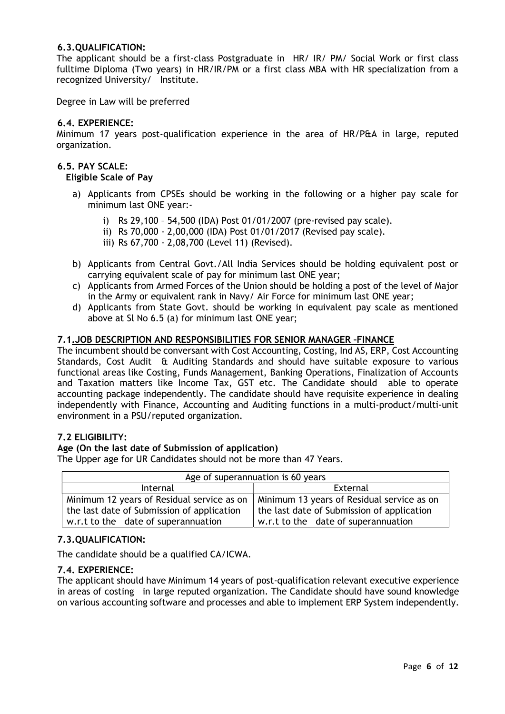#### 6.3.QUALIFICATION:

The applicant should be a first-class Postgraduate in HR/ IR/ PM/ Social Work or first class fulltime Diploma (Two years) in HR/IR/PM or a first class MBA with HR specialization from a recognized University/ Institute.

Degree in Law will be preferred

#### 6.4. EXPERIENCE:

Minimum 17 years post-qualification experience in the area of HR/P&A in large, reputed organization.

#### 6.5. PAY SCALE:

Eligible Scale of Pay

- a) Applicants from CPSEs should be working in the following or a higher pay scale for minimum last ONE year:
	- i) Rs 29,100 54,500 (IDA) Post 01/01/2007 (pre-revised pay scale).
	- ii) Rs 70,000 2,00,000 (IDA) Post 01/01/2017 (Revised pay scale).
	- iii) Rs 67,700 2,08,700 (Level 11) (Revised).
- b) Applicants from Central Govt./All India Services should be holding equivalent post or carrying equivalent scale of pay for minimum last ONE year;
- c) Applicants from Armed Forces of the Union should be holding a post of the level of Major in the Army or equivalent rank in Navy/ Air Force for minimum last ONE year;
- d) Applicants from State Govt. should be working in equivalent pay scale as mentioned above at Sl No 6.5 (a) for minimum last ONE year;

#### 7.1.JOB DESCRIPTION AND RESPONSIBILITIES FOR SENIOR MANAGER –FINANCE

The incumbent should be conversant with Cost Accounting, Costing, Ind AS, ERP, Cost Accounting Standards, Cost Audit & Auditing Standards and should have suitable exposure to various functional areas like Costing, Funds Management, Banking Operations, Finalization of Accounts and Taxation matters like Income Tax, GST etc. The Candidate should able to operate accounting package independently. The candidate should have requisite experience in dealing independently with Finance, Accounting and Auditing functions in a multi-product/multi-unit environment in a PSU/reputed organization.

#### 7.2 ELIGIBILITY:

#### Age (On the last date of Submission of application)

The Upper age for UR Candidates should not be more than 47 Years.

| Age of superannuation is 60 years                                                        |                                            |  |  |  |
|------------------------------------------------------------------------------------------|--------------------------------------------|--|--|--|
| Internal                                                                                 | External                                   |  |  |  |
| Minimum 12 years of Residual service as on<br>Minimum 13 years of Residual service as on |                                            |  |  |  |
| the last date of Submission of application                                               | the last date of Submission of application |  |  |  |
| w.r.t to the date of superannuation                                                      | w.r.t to the date of superannuation        |  |  |  |

#### 7.3.QUALIFICATION:

The candidate should be a qualified CA/ICWA.

#### 7.4. EXPERIENCE:

The applicant should have Minimum 14 years of post-qualification relevant executive experience in areas of costing in large reputed organization. The Candidate should have sound knowledge on various accounting software and processes and able to implement ERP System independently.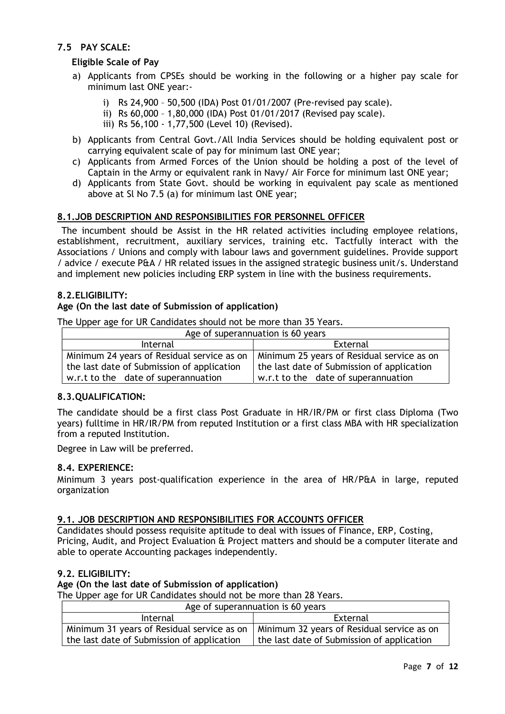# 7.5 PAY SCALE:

# Eligible Scale of Pay

- a) Applicants from CPSEs should be working in the following or a higher pay scale for minimum last ONE year:
	- i) Rs 24,900 50,500 (IDA) Post 01/01/2007 (Pre-revised pay scale).
	- ii) Rs 60,000 1,80,000 (IDA) Post 01/01/2017 (Revised pay scale).
	- iii) Rs 56,100 1,77,500 (Level 10) (Revised).
- b) Applicants from Central Govt./All India Services should be holding equivalent post or carrying equivalent scale of pay for minimum last ONE year;
- c) Applicants from Armed Forces of the Union should be holding a post of the level of Captain in the Army or equivalent rank in Navy/ Air Force for minimum last ONE year;
- d) Applicants from State Govt. should be working in equivalent pay scale as mentioned above at Sl No 7.5 (a) for minimum last ONE year;

# 8.1.JOB DESCRIPTION AND RESPONSIBILITIES FOR PERSONNEL OFFICER

 The incumbent should be Assist in the HR related activities including employee relations, establishment, recruitment, auxiliary services, training etc. Tactfully interact with the Associations / Unions and comply with labour laws and government guidelines. Provide support / advice / execute P&A / HR related issues in the assigned strategic business unit/s. Understand and implement new policies including ERP system in line with the business requirements.

# 8.2.ELIGIBILITY:

#### Age (On the last date of Submission of application)

The Upper age for UR Candidates should not be more than 35 Years.

| Age of superannuation is 60 years          |                                            |  |  |
|--------------------------------------------|--------------------------------------------|--|--|
| Internal                                   | External                                   |  |  |
| Minimum 24 years of Residual service as on | Minimum 25 years of Residual service as on |  |  |
| the last date of Submission of application | the last date of Submission of application |  |  |
| w.r.t to the date of superannuation        | w.r.t to the date of superannuation        |  |  |

#### 8.3.QUALIFICATION:

The candidate should be a first class Post Graduate in HR/IR/PM or first class Diploma (Two years) fulltime in HR/IR/PM from reputed Institution or a first class MBA with HR specialization from a reputed Institution.

Degree in Law will be preferred.

#### 8.4. EXPERIENCE:

Minimum 3 years post-qualification experience in the area of HR/P&A in large, reputed organization

#### 9.1. JOB DESCRIPTION AND RESPONSIBILITIES FOR ACCOUNTS OFFICER

Candidates should possess requisite aptitude to deal with issues of Finance, ERP, Costing, Pricing, Audit, and Project Evaluation & Project matters and should be a computer literate and able to operate Accounting packages independently.

#### 9.2. ELIGIBILITY:

#### Age (On the last date of Submission of application)

The Upper age for UR Candidates should not be more than 28 Years.

| Age of superannuation is 60 years |
|-----------------------------------|
|-----------------------------------|

| $1.42$ or superarmateron is so years.                                                   |                                            |  |  |  |
|-----------------------------------------------------------------------------------------|--------------------------------------------|--|--|--|
| Internal                                                                                | External                                   |  |  |  |
| Minimum 31 years of Residual service as on   Minimum 32 years of Residual service as on |                                            |  |  |  |
| the last date of Submission of application                                              | the last date of Submission of application |  |  |  |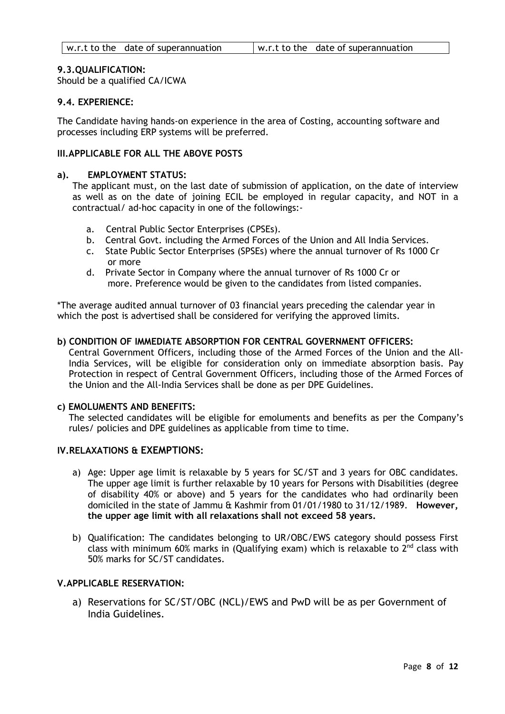#### 9.3.QUALIFICATION:

Should be a qualified CA/ICWA

#### 9.4. EXPERIENCE:

The Candidate having hands-on experience in the area of Costing, accounting software and processes including ERP systems will be preferred.

# III.APPLICABLE FOR ALL THE ABOVE POSTS

#### a). EMPLOYMENT STATUS:

The applicant must, on the last date of submission of application, on the date of interview as well as on the date of joining ECIL be employed in regular capacity, and NOT in a contractual/ ad-hoc capacity in one of the followings:-

- a. Central Public Sector Enterprises (CPSEs).
- b. Central Govt. including the Armed Forces of the Union and All India Services.
- c. State Public Sector Enterprises (SPSEs) where the annual turnover of Rs 1000 Cr or more
- d. Private Sector in Company where the annual turnover of Rs 1000 Cr or more. Preference would be given to the candidates from listed companies.

\*The average audited annual turnover of 03 financial years preceding the calendar year in which the post is advertised shall be considered for verifying the approved limits.

#### b) CONDITION OF IMMEDIATE ABSORPTION FOR CENTRAL GOVERNMENT OFFICERS:

Central Government Officers, including those of the Armed Forces of the Union and the All-India Services, will be eligible for consideration only on immediate absorption basis. Pay Protection in respect of Central Government Officers, including those of the Armed Forces of the Union and the All-India Services shall be done as per DPE Guidelines.

#### c) EMOLUMENTS AND BENEFITS:

The selected candidates will be eligible for emoluments and benefits as per the Company's rules/ policies and DPE guidelines as applicable from time to time.

#### IV.RELAXATIONS & EXEMPTIONS:

- a) Age: Upper age limit is relaxable by 5 years for SC/ST and 3 years for OBC candidates. The upper age limit is further relaxable by 10 years for Persons with Disabilities (degree of disability 40% or above) and 5 years for the candidates who had ordinarily been domiciled in the state of Jammu & Kashmir from 01/01/1980 to 31/12/1989. However, the upper age limit with all relaxations shall not exceed 58 years.
- b) Qualification: The candidates belonging to UR/OBC/EWS category should possess First class with minimum 60% marks in (Qualifying exam) which is relaxable to  $2^{nd}$  class with 50% marks for SC/ST candidates.

#### V.APPLICABLE RESERVATION:

a) Reservations for SC/ST/OBC (NCL)/EWS and PwD will be as per Government of India Guidelines.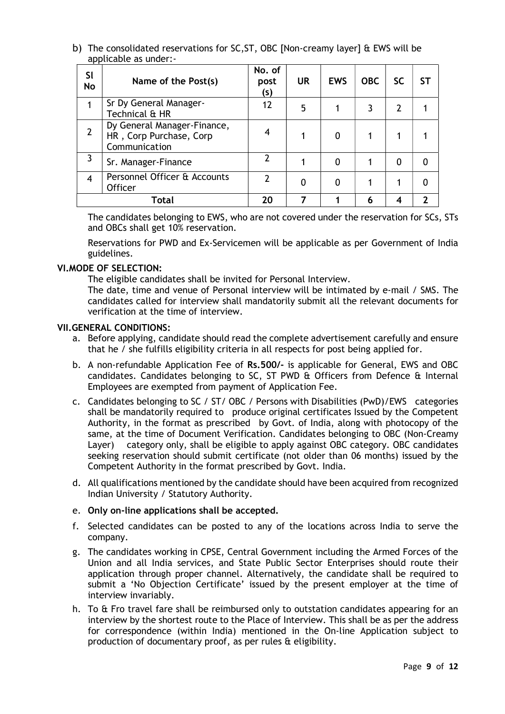b) The consolidated reservations for SC,ST, OBC [Non-creamy layer] & EWS will be applicable as under:-

| SI<br><b>No</b> | Name of the Post(s)                                                     | No. of<br>post<br>(s) | <b>UR</b> | <b>EWS</b> | <b>OBC</b> | SC | SТ |
|-----------------|-------------------------------------------------------------------------|-----------------------|-----------|------------|------------|----|----|
|                 | Sr Dy General Manager-<br>Technical & HR                                | 12                    | 5         |            |            |    |    |
|                 | Dy General Manager-Finance,<br>HR, Corp Purchase, Corp<br>Communication | 4                     |           | 0          |            |    |    |
| 3               | Sr. Manager-Finance                                                     |                       |           | 0          |            | 0  | 0  |
| 4               | Personnel Officer & Accounts<br><b>Officer</b>                          |                       | 0         |            |            |    |    |
|                 | Total                                                                   | 20                    |           |            | 6          |    |    |

The candidates belonging to EWS, who are not covered under the reservation for SCs, STs and OBCs shall get 10% reservation.

Reservations for PWD and Ex-Servicemen will be applicable as per Government of India guidelines.

#### VI.MODE OF SELECTION:

The eligible candidates shall be invited for Personal Interview.

The date, time and venue of Personal interview will be intimated by e-mail / SMS. The candidates called for interview shall mandatorily submit all the relevant documents for verification at the time of interview.

#### VII.GENERAL CONDITIONS:

- a. Before applying, candidate should read the complete advertisement carefully and ensure that he / she fulfills eligibility criteria in all respects for post being applied for.
- b. A non-refundable Application Fee of Rs.500/- is applicable for General, EWS and OBC candidates. Candidates belonging to SC, ST PWD & Officers from Defence & Internal Employees are exempted from payment of Application Fee.
- c. Candidates belonging to SC / ST/ OBC / Persons with Disabilities (PwD)/EWS categories shall be mandatorily required to produce original certificates Issued by the Competent Authority, in the format as prescribed by Govt. of India, along with photocopy of the same, at the time of Document Verification. Candidates belonging to OBC (Non-Creamy Layer) category only, shall be eligible to apply against OBC category. OBC candidates seeking reservation should submit certificate (not older than 06 months) issued by the Competent Authority in the format prescribed by Govt. India.
- d. All qualifications mentioned by the candidate should have been acquired from recognized Indian University / Statutory Authority.

#### e. Only on-line applications shall be accepted.

- f. Selected candidates can be posted to any of the locations across India to serve the company.
- g. The candidates working in CPSE, Central Government including the Armed Forces of the Union and all India services, and State Public Sector Enterprises should route their application through proper channel. Alternatively, the candidate shall be required to submit a 'No Objection Certificate' issued by the present employer at the time of interview invariably.
- h. To & Fro travel fare shall be reimbursed only to outstation candidates appearing for an interview by the shortest route to the Place of Interview. This shall be as per the address for correspondence (within India) mentioned in the On-line Application subject to production of documentary proof, as per rules & eligibility.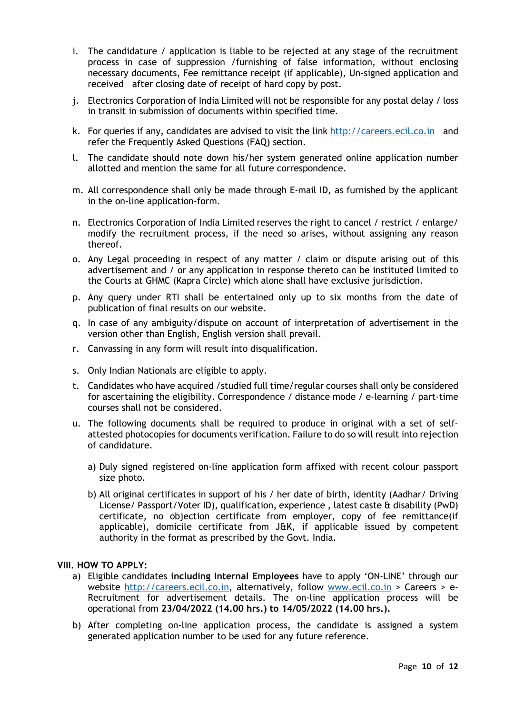- i. The candidature / application is liable to be rejected at any stage of the recruitment process in case of suppression /furnishing of false information, without enclosing necessary documents, Fee remittance receipt (if applicable), Un-signed application and received after closing date of receipt of hard copy by post.
- j. Electronics Corporation of India Limited will not be responsible for any postal delay / loss in transit in submission of documents within specified time.
- k. For queries if any, candidates are advised to visit the link http://careers.ecil.co.in and refer the Frequently Asked Questions (FAQ) section.
- l. The candidate should note down his/her system generated online application number allotted and mention the same for all future correspondence.
- m. All correspondence shall only be made through E-mail ID, as furnished by the applicant in the on-line application-form.
- n. Electronics Corporation of India Limited reserves the right to cancel / restrict / enlarge/ modify the recruitment process, if the need so arises, without assigning any reason thereof.
- o. Any Legal proceeding in respect of any matter / claim or dispute arising out of this advertisement and / or any application in response thereto can be instituted limited to the Courts at GHMC (Kapra Circle) which alone shall have exclusive jurisdiction.
- p. Any query under RTI shall be entertained only up to six months from the date of publication of final results on our website.
- q. In case of any ambiguity/dispute on account of interpretation of advertisement in the version other than English, English version shall prevail.
- r. Canvassing in any form will result into disqualification.
- s. Only Indian Nationals are eligible to apply.
- t. Candidates who have acquired /studied full time/regular courses shall only be considered for ascertaining the eligibility. Correspondence / distance mode / e-learning / part-time courses shall not be considered.
- u. The following documents shall be required to produce in original with a set of selfattested photocopies for documents verification. Failure to do so will result into rejection of candidature.
	- a) Duly signed registered on-line application form affixed with recent colour passport size photo.
	- b) All original certificates in support of his / her date of birth, identity (Aadhar/ Driving License/ Passport/Voter ID), qualification, experience, latest caste & disability (PwD) certificate, no objection certificate from employer, copy of fee remittance(if applicable), domicile certificate from J&K, if applicable issued by competent authority in the format as prescribed by the Govt. India.

#### VIII. HOW TO APPLY:

- a) Eligible candidates including Internal Employees have to apply 'ON-LINE' through our website http://careers.ecil.co.in, alternatively, follow www.ecil.co.in > Careers > e-Recruitment for advertisement details. The on-line application process will be operational from 23/04/2022 (14.00 hrs.) to 14/05/2022 (14.00 hrs.).
- b) After completing on-line application process, the candidate is assigned a system generated application number to be used for any future reference.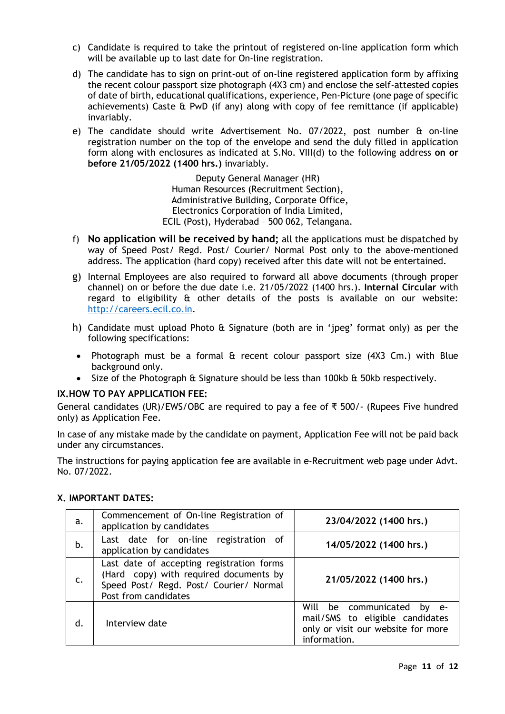- c) Candidate is required to take the printout of registered on-line application form which will be available up to last date for On-line registration.
- d) The candidate has to sign on print-out of on-line registered application form by affixing the recent colour passport size photograph (4X3 cm) and enclose the self-attested copies of date of birth, educational qualifications, experience, Pen-Picture (one page of specific achievements) Caste & PwD (if any) along with copy of fee remittance (if applicable) invariably.
- e) The candidate should write Advertisement No. 07/2022, post number & on-line registration number on the top of the envelope and send the duly filled in application form along with enclosures as indicated at S.No. VIII(d) to the following address on or before 21/05/2022 (1400 hrs.) invariably.

Deputy General Manager (HR) Human Resources (Recruitment Section), Administrative Building, Corporate Office, Electronics Corporation of India Limited, ECIL (Post), Hyderabad – 500 062, Telangana.

- f) No application will be received by hand; all the applications must be dispatched by way of Speed Post/ Regd. Post/ Courier/ Normal Post only to the above-mentioned address. The application (hard copy) received after this date will not be entertained.
- g) Internal Employees are also required to forward all above documents (through proper channel) on or before the due date i.e. 21/05/2022 (1400 hrs.). Internal Circular with regard to eligibility & other details of the posts is available on our website: http://careers.ecil.co.in.
- h) Candidate must upload Photo & Signature (both are in 'jpeg' format only) as per the following specifications:
- Photograph must be a formal & recent colour passport size (4X3 Cm.) with Blue background only.
- Size of the Photograph & Signature should be less than 100kb & 50kb respectively.

#### IX.HOW TO PAY APPLICATION FEE:

General candidates (UR)/EWS/OBC are required to pay a fee of  $\overline{x}$  500/- (Rupees Five hundred only) as Application Fee.

In case of any mistake made by the candidate on payment, Application Fee will not be paid back under any circumstances.

The instructions for paying application fee are available in e-Recruitment web page under Advt. No. 07/2022.

# X. IMPORTANT DATES:

| a.            | Commencement of On-line Registration of<br>application by candidates                                                                                   | 23/04/2022 (1400 hrs.)                                                                                                 |
|---------------|--------------------------------------------------------------------------------------------------------------------------------------------------------|------------------------------------------------------------------------------------------------------------------------|
| b.            | Last date for on-line registration of<br>application by candidates                                                                                     | 14/05/2022 (1400 hrs.)                                                                                                 |
| $C_{\bullet}$ | Last date of accepting registration forms<br>(Hard copy) with required documents by<br>Speed Post/ Regd. Post/ Courier/ Normal<br>Post from candidates | 21/05/2022 (1400 hrs.)                                                                                                 |
| d.            | Interview date                                                                                                                                         | Will be communicated<br>by e-<br>mail/SMS to eligible candidates<br>only or visit our website for more<br>information. |